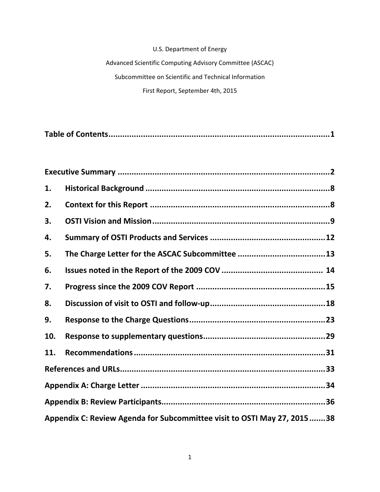## U.S. Department of Energy

Advanced Scientific Computing Advisory Committee (ASCAC) Subcommittee on Scientific and Technical Information First Report, September 4th, 2015

| 1.  |                                                                         |  |
|-----|-------------------------------------------------------------------------|--|
| 2.  |                                                                         |  |
| 3.  |                                                                         |  |
| 4.  |                                                                         |  |
| 5.  |                                                                         |  |
| 6.  |                                                                         |  |
| 7.  |                                                                         |  |
| 8.  |                                                                         |  |
| 9.  |                                                                         |  |
| 10. |                                                                         |  |
| 11. |                                                                         |  |
|     |                                                                         |  |
|     |                                                                         |  |
|     |                                                                         |  |
|     | Appendix C: Review Agenda for Subcommittee visit to OSTI May 27, 201538 |  |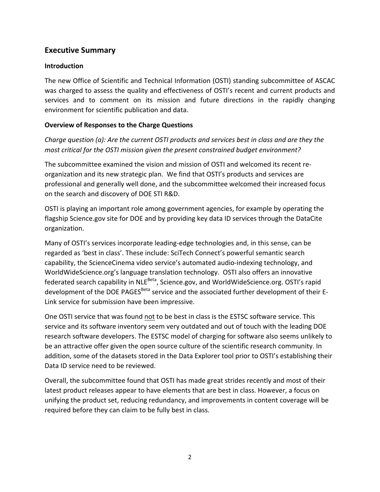## **Executive Summary**

## **Introduction**

The new Office of Scientific and Technical Information (OSTI) standing subcommittee of ASCAC was charged to assess the quality and effectiveness of OSTI's recent and current products and services and to comment on its mission and future directions in the rapidly changing environment for scientific publication and data.

## **Overview of Responses to the Charge Questions**

*Charge question (a): Are the current OSTI products and services best in class and are they the most critical for the OSTI mission given the present constrained budget environment?*

The subcommittee examined the vision and mission of OSTI and welcomed its recent re‐ organization and its new strategic plan. We find that OSTI's products and services are professional and generally well done, and the subcommittee welcomed their increased focus on the search and discovery of DOE STI R&D.

OSTI is playing an important role among government agencies, for example by operating the flagship Science.gov site for DOE and by providing key data ID services through the DataCite organization.

Many of OSTI's services incorporate leading‐edge technologies and, in this sense, can be regarded as 'best in class'. These include: SciTech Connect's powerful semantic search capability, the ScienceCinema video service's automated audio‐indexing technology, and WorldWideScience.org's language translation technology. OSTI also offers an innovative federated search capability in NLE<sup>Beta</sup>, Science.gov, and WorldWideScience.org. OSTI's rapid development of the DOE PAGES<sup>Beta</sup> service and the associated further development of their E-Link service for submission have been impressive.

One OSTI service that was found not to be best in class is the ESTSC software service. This service and its software inventory seem very outdated and out of touch with the leading DOE research software developers. The ESTSC model of charging for software also seems unlikely to be an attractive offer given the open source culture of the scientific research community. In addition, some of the datasets stored in the Data Explorer tool prior to OSTI's establishing their Data ID service need to be reviewed.

Overall, the subcommittee found that OSTI has made great strides recently and most of their latest product releases appear to have elements that are best in class. However, a focus on unifying the product set, reducing redundancy, and improvements in content coverage will be required before they can claim to be fully best in class.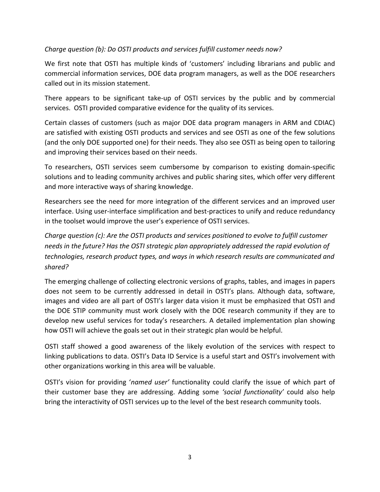## *Charge question (b): Do OSTI products and services fulfill customer needs now?*

We first note that OSTI has multiple kinds of 'customers' including librarians and public and commercial information services, DOE data program managers, as well as the DOE researchers called out in its mission statement.

There appears to be significant take‐up of OSTI services by the public and by commercial services. OSTI provided comparative evidence for the quality of its services.

Certain classes of customers (such as major DOE data program managers in ARM and CDIAC) are satisfied with existing OSTI products and services and see OSTI as one of the few solutions (and the only DOE supported one) for their needs. They also see OSTI as being open to tailoring and improving their services based on their needs.

To researchers, OSTI services seem cumbersome by comparison to existing domain‐specific solutions and to leading community archives and public sharing sites, which offer very different and more interactive ways of sharing knowledge.

Researchers see the need for more integration of the different services and an improved user interface. Using user-interface simplification and best-practices to unify and reduce redundancy in the toolset would improve the user's experience of OSTI services.

*Charge question (c): Are the OSTI products and services positioned to evolve to fulfill customer needs in the future? Has the OSTI strategic plan appropriately addressed the rapid evolution of technologies, research product types, and ways in which research results are communicated and shared?*

The emerging challenge of collecting electronic versions of graphs, tables, and images in papers does not seem to be currently addressed in detail in OSTI's plans. Although data, software, images and video are all part of OSTI's larger data vision it must be emphasized that OSTI and the DOE STIP community must work closely with the DOE research community if they are to develop new useful services for today's researchers. A detailed implementation plan showing how OSTI will achieve the goals set out in their strategic plan would be helpful.

OSTI staff showed a good awareness of the likely evolution of the services with respect to linking publications to data. OSTI's Data ID Service is a useful start and OSTI's involvement with other organizations working in this area will be valuable.

OSTI's vision for providing '*named user'* functionality could clarify the issue of which part of their customer base they are addressing. Adding some *'social functionality'* could also help bring the interactivity of OSTI services up to the level of the best research community tools.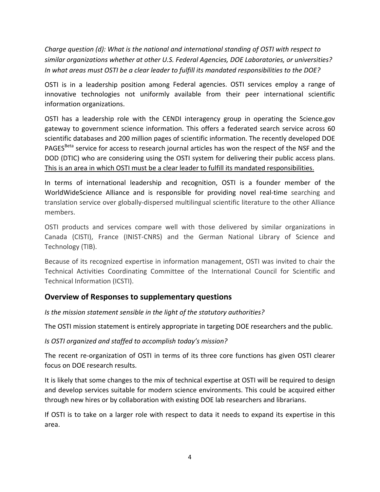*Charge question (d): What is the national and international standing of OSTI with respect to similar organizations whether at other U.S. Federal Agencies, DOE Laboratories, or universities? In what areas must OSTI be a clear leader to fulfill its mandated responsibilities to the DOE?*

OSTI is in a leadership position among Federal agencies. OSTI services employ a range of innovative technologies not uniformly available from their peer international scientific information organizations.

OSTI has a leadership role with the CENDI interagency group in operating the Science.gov gateway to government science information. This offers a federated search service across 60 scientific databases and 200 million pages of scientific information. The recently developed DOE PAGES<sup>Beta</sup> service for access to research journal articles has won the respect of the NSF and the DOD (DTIC) who are considering using the OSTI system for delivering their public access plans. This is an area in which OSTI must be a clear leader to fulfill its mandated responsibilities.

In terms of international leadership and recognition, OSTI is a founder member of the WorldWideScience Alliance and is responsible for providing novel real-time searching and translation service over globally‐dispersed multilingual scientific literature to the other Alliance members.

OSTI products and services compare well with those delivered by similar organizations in Canada (CISTI), France (INIST‐CNRS) and the German National Library of Science and Technology (TIB).

Because of its recognized expertise in information management, OSTI was invited to chair the Technical Activities Coordinating Committee of the International Council for Scientific and Technical Information (ICSTI).

## **Overview of Responses to supplementary questions**

*Is the mission statement sensible in the light of the statutory authorities?*

The OSTI mission statement is entirely appropriate in targeting DOE researchers and the public.

## *Is OSTI organized and staffed to accomplish today's mission?*

The recent re-organization of OSTI in terms of its three core functions has given OSTI clearer focus on DOE research results.

It is likely that some changes to the mix of technical expertise at OSTI will be required to design and develop services suitable for modern science environments. This could be acquired either through new hires or by collaboration with existing DOE lab researchers and librarians.

If OSTI is to take on a larger role with respect to data it needs to expand its expertise in this area.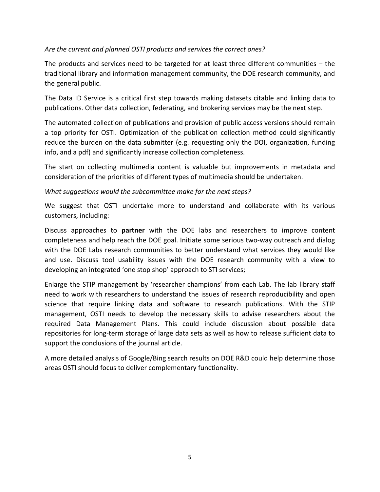## *Are the current and planned OSTI products and services the correct ones?*

The products and services need to be targeted for at least three different communities – the traditional library and information management community, the DOE research community, and the general public.

The Data ID Service is a critical first step towards making datasets citable and linking data to publications. Other data collection, federating, and brokering services may be the next step.

The automated collection of publications and provision of public access versions should remain a top priority for OSTI. Optimization of the publication collection method could significantly reduce the burden on the data submitter (e.g. requesting only the DOI, organization, funding info, and a pdf) and significantly increase collection completeness.

The start on collecting multimedia content is valuable but improvements in metadata and consideration of the priorities of different types of multimedia should be undertaken.

### *What suggestions would the subcommittee make for the next steps?*

We suggest that OSTI undertake more to understand and collaborate with its various customers, including:

Discuss approaches to **partner** with the DOE labs and researchers to improve content completeness and help reach the DOE goal. Initiate some serious two-way outreach and dialog with the DOE Labs research communities to better understand what services they would like and use. Discuss tool usability issues with the DOE research community with a view to developing an integrated 'one stop shop' approach to STI services;

Enlarge the STIP management by 'researcher champions' from each Lab. The lab library staff need to work with researchers to understand the issues of research reproducibility and open science that require linking data and software to research publications. With the STIP management, OSTI needs to develop the necessary skills to advise researchers about the required Data Management Plans. This could include discussion about possible data repositories for long‐term storage of large data sets as well as how to release sufficient data to support the conclusions of the journal article.

A more detailed analysis of Google/Bing search results on DOE R&D could help determine those areas OSTI should focus to deliver complementary functionality.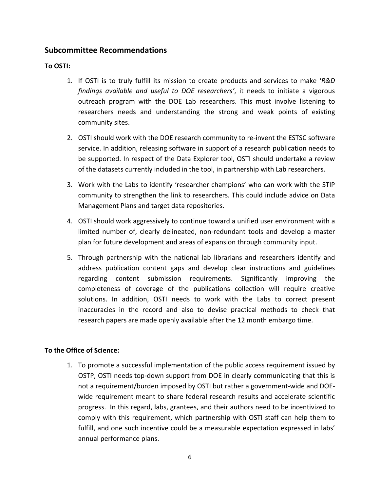## **Subcommittee Recommendations**

### **To OSTI:**

- 1. If OSTI is to truly fulfill its mission to create products and services to make '*R&D findings available and useful to DOE researchers'*, it needs to initiate a vigorous outreach program with the DOE Lab researchers. This must involve listening to researchers needs and understanding the strong and weak points of existing community sites.
- 2. OSTI should work with the DOE research community to re-invent the ESTSC software service. In addition, releasing software in support of a research publication needs to be supported. In respect of the Data Explorer tool, OSTI should undertake a review of the datasets currently included in the tool, in partnership with Lab researchers.
- 3. Work with the Labs to identify 'researcher champions' who can work with the STIP community to strengthen the link to researchers. This could include advice on Data Management Plans and target data repositories.
- 4. OSTI should work aggressively to continue toward a unified user environment with a limited number of, clearly delineated, non‐redundant tools and develop a master plan for future development and areas of expansion through community input.
- 5. Through partnership with the national lab librarians and researchers identify and address publication content gaps and develop clear instructions and guidelines regarding content submission requirements. Significantly improving the completeness of coverage of the publications collection will require creative solutions. In addition, OSTI needs to work with the Labs to correct present inaccuracies in the record and also to devise practical methods to check that research papers are made openly available after the 12 month embargo time.

### **To the Office of Science:**

1. To promote a successful implementation of the public access requirement issued by OSTP, OSTI needs top‐down support from DOE in clearly communicating that this is not a requirement/burden imposed by OSTI but rather a government‐wide and DOE‐ wide requirement meant to share federal research results and accelerate scientific progress. In this regard, labs, grantees, and their authors need to be incentivized to comply with this requirement, which partnership with OSTI staff can help them to fulfill, and one such incentive could be a measurable expectation expressed in labs' annual performance plans.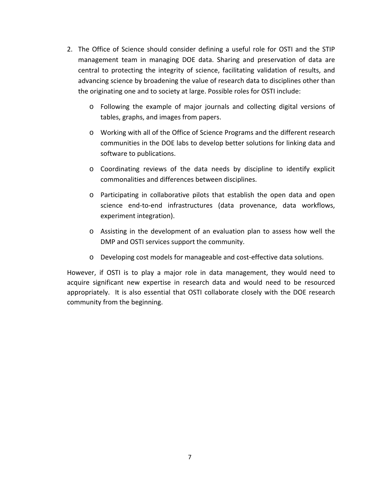- 2. The Office of Science should consider defining a useful role for OSTI and the STIP management team in managing DOE data. Sharing and preservation of data are central to protecting the integrity of science, facilitating validation of results, and advancing science by broadening the value of research data to disciplines other than the originating one and to society at large. Possible roles for OSTI include:
	- o Following the example of major journals and collecting digital versions of tables, graphs, and images from papers.
	- o Working with all of the Office of Science Programs and the different research communities in the DOE labs to develop better solutions for linking data and software to publications.
	- o Coordinating reviews of the data needs by discipline to identify explicit commonalities and differences between disciplines.
	- o Participating in collaborative pilots that establish the open data and open science end‐to‐end infrastructures (data provenance, data workflows, experiment integration).
	- o Assisting in the development of an evaluation plan to assess how well the DMP and OSTI services support the community.
	- o Developing cost models for manageable and cost‐effective data solutions.

However, if OSTI is to play a major role in data management, they would need to acquire significant new expertise in research data and would need to be resourced appropriately. It is also essential that OSTI collaborate closely with the DOE research community from the beginning.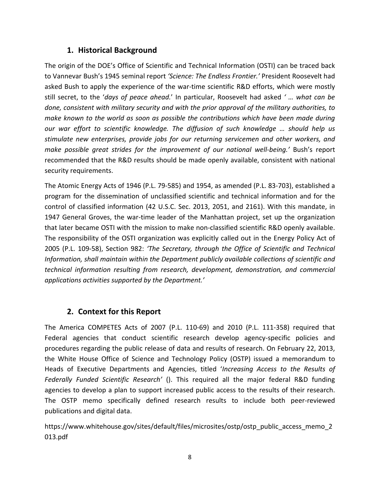# **1. Historical Background**

The origin of the DOE's Office of Scientific and Technical Information (OSTI) can be traced back to Vannevar Bush's 1945 seminal report *'Science: The Endless Frontier.'* President Roosevelt had asked Bush to apply the experience of the war-time scientific R&D efforts, which were mostly still secret, to the '*days of peace ahead.*' In particular, Roosevelt had asked *' … what can be done, consistent with military security and with the prior approval of the military authorities, to make known to the world as soon as possible the contributions which have been made during our war effort to scientific knowledge. The diffusion of such knowledge … should help us stimulate new enterprises, provide jobs for our returning servicemen and other workers, and make possible great strides for the improvement of our national well‐being.'* Bush's report recommended that the R&D results should be made openly available, consistent with national security requirements.

The Atomic Energy Acts of 1946 (P.L. 79‐585) and 1954, as amended (P.L. 83‐703), established a program for the dissemination of unclassified scientific and technical information and for the control of classified information (42 U.S.C. Sec. 2013, 2051, and 2161). With this mandate, in 1947 General Groves, the war-time leader of the Manhattan project, set up the organization that later became OSTI with the mission to make non‐classified scientific R&D openly available. The responsibility of the OSTI organization was explicitly called out in the Energy Policy Act of 2005 (P.L. 109‐58), Section 982: *'The Secretary, through the Office of Scientific and Technical Information, shall maintain within the Department publicly available collections of scientific and technical information resulting from research, development, demonstration, and commercial applications activities supported by the Department.'*

## **2. Context for this Report**

The America COMPETES Acts of 2007 (P.L. 110‐69) and 2010 (P.L. 111‐358) required that Federal agencies that conduct scientific research develop agency-specific policies and procedures regarding the public release of data and results of research. On February 22, 2013, the White House Office of Science and Technology Policy (OSTP) issued a memorandum to Heads of Executive Departments and Agencies, titled '*Increasing Access to the Results of Federally Funded Scientific Research'* (). This required all the major federal R&D funding agencies to develop a plan to support increased public access to the results of their research. The OSTP memo specifically defined research results to include both peer-reviewed publications and digital data.

https://www.whitehouse.gov/sites/default/files/microsites/ostp/ostp\_public\_access\_memo\_2 013.pdf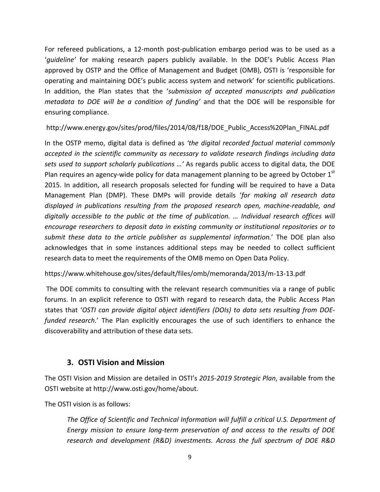For refereed publications, a 12-month post-publication embargo period was to be used as a '*guideline'* for making research papers publicly available. In the DOE's Public Access Plan approved by OSTP and the Office of Management and Budget (OMB), OSTI is 'responsible for operating and maintaining DOE's public access system and network' for scientific publications. In addition, the Plan states that the '*submission of accepted manuscripts and publication metadata to DOE will be a condition of funding'* and that the DOE will be responsible for ensuring compliance.

## http://www.energy.gov/sites/prod/files/2014/08/f18/DOE\_Public\_Access%20Plan\_FINAL.pdf

In the OSTP memo, digital data is defined as *'the digital recorded factual material commonly accepted in the scientific community as necessary to validate research findings including data sets used to support scholarly publications …'* As regards public access to digital data, the DOE Plan requires an agency-wide policy for data management planning to be agreed by October 1<sup>st</sup> 2015. In addition, all research proposals selected for funding will be required to have a Data Management Plan (DMP). These DMPs will provide details '*for making all research data displayed in publications resulting from the proposed research open, machine‐readable, and digitally accessible to the public at the time of publication. … Individual research offices will encourage researchers to deposit data in existing community or institutional repositories or to submit these data to the article publisher as supplemental information.*' The DOE plan also acknowledges that in some instances additional steps may be needed to collect sufficient research data to meet the requirements of the OMB memo on Open Data Policy.

https://www.whitehouse.gov/sites/default/files/omb/memoranda/2013/m‐13‐13.pdf

The DOE commits to consulting with the relevant research communities via a range of public forums. In an explicit reference to OSTI with regard to research data, the Public Access Plan states that '*OSTI can provide digital object identifiers (DOIs) to data sets resulting from DOE‐ funded research.*' The Plan explicitly encourages the use of such identifiers to enhance the discoverability and attribution of these data sets.

# **3. OSTI Vision and Mission**

The OSTI Vision and Mission are detailed in OSTI's *2015‐2019 Strategic Plan*, available from the OSTI website at http://www.osti.gov/home/about.

The OSTI vision is as follows:

*The Office of Scientific and Technical Information will fulfill a critical U.S. Department of Energy mission to ensure long‐term preservation of and access to the results of DOE research and development (R&D) investments. Across the full spectrum of DOE R&D*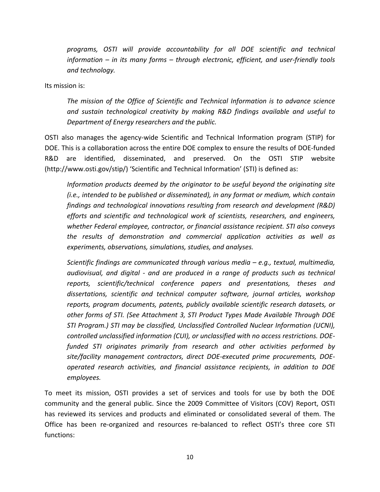*programs, OSTI will provide accountability for all DOE scientific and technical information – in its many forms – through electronic, efficient, and user‐friendly tools and technology.*

Its mission is:

*The mission of the Office of Scientific and Technical Information is to advance science and sustain technological creativity by making R&D findings available and useful to Department of Energy researchers and the public.*

OSTI also manages the agency‐wide Scientific and Technical Information program (STIP) for DOE. This is a collaboration across the entire DOE complex to ensure the results of DOE‐funded R&D are identified, disseminated, and preserved. On the OSTI STIP website (http://www.osti.gov/stip/) 'Scientific and Technical Information' (STI) is defined as:

*Information products deemed by the originator to be useful beyond the originating site (i.e., intended to be published or disseminated), in any format or medium, which contain findings and technological innovations resulting from research and development (R&D) efforts and scientific and technological work of scientists, researchers, and engineers, whether Federal employee, contractor, or financial assistance recipient. STI also conveys the results of demonstration and commercial application activities as well as experiments, observations, simulations, studies, and analyses.*

*Scientific findings are communicated through various media – e.g., textual, multimedia, audiovisual, and digital ‐ and are produced in a range of products such as technical reports, scientific/technical conference papers and presentations, theses and dissertations, scientific and technical computer software, journal articles, workshop reports, program documents, patents, publicly available scientific research datasets, or other forms of STI. (See Attachment 3, STI Product Types Made Available Through DOE STI Program.) STI may be classified, Unclassified Controlled Nuclear Information (UCNI), controlled unclassified information (CUI), or unclassified with no access restrictions. DOE‐ funded STI originates primarily from research and other activities performed by site/facility management contractors, direct DOE‐executed prime procurements, DOE‐ operated research activities, and financial assistance recipients, in addition to DOE employees.*

To meet its mission, OSTI provides a set of services and tools for use by both the DOE community and the general public. Since the 2009 Committee of Visitors (COV) Report, OSTI has reviewed its services and products and eliminated or consolidated several of them. The Office has been re‐organized and resources re‐balanced to reflect OSTI's three core STI functions: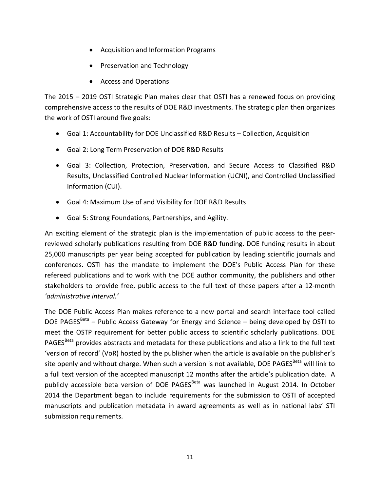- Acquisition and Information Programs
- Preservation and Technology
- Access and Operations

The 2015 – 2019 OSTI Strategic Plan makes clear that OSTI has a renewed focus on providing comprehensive access to the results of DOE R&D investments. The strategic plan then organizes the work of OSTI around five goals:

- Goal 1: Accountability for DOE Unclassified R&D Results Collection, Acquisition
- Goal 2: Long Term Preservation of DOE R&D Results
- Goal 3: Collection, Protection, Preservation, and Secure Access to Classified R&D Results, Unclassified Controlled Nuclear Information (UCNI), and Controlled Unclassified Information (CUI).
- Goal 4: Maximum Use of and Visibility for DOE R&D Results
- Goal 5: Strong Foundations, Partnerships, and Agility.

An exciting element of the strategic plan is the implementation of public access to the peer‐ reviewed scholarly publications resulting from DOE R&D funding. DOE funding results in about 25,000 manuscripts per year being accepted for publication by leading scientific journals and conferences. OSTI has the mandate to implement the DOE's Public Access Plan for these refereed publications and to work with the DOE author community, the publishers and other stakeholders to provide free, public access to the full text of these papers after a 12‐month *'administrative interval.'*

The DOE Public Access Plan makes reference to a new portal and search interface tool called DOE PAGES $Beta$  – Public Access Gateway for Energy and Science – being developed by OSTI to meet the OSTP requirement for better public access to scientific scholarly publications. DOE PAGES<sup>Beta</sup> provides abstracts and metadata for these publications and also a link to the full text 'version of record' (VoR) hosted by the publisher when the article is available on the publisher's site openly and without charge. When such a version is not available, DOE PAGES<sup>Beta</sup> will link to a full text version of the accepted manuscript 12 months after the article's publication date. A publicly accessible beta version of DOE PAGES<sup>Beta</sup> was launched in August 2014. In October 2014 the Department began to include requirements for the submission to OSTI of accepted manuscripts and publication metadata in award agreements as well as in national labs' STI submission requirements.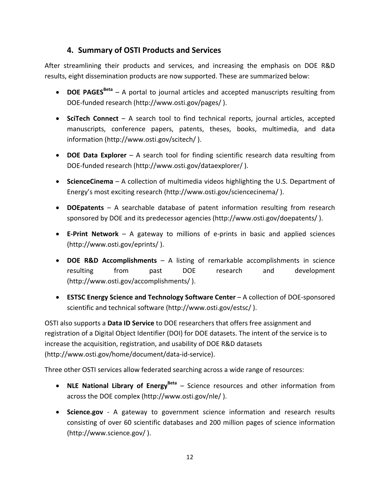# **4. Summary of OSTI Products and Services**

After streamlining their products and services, and increasing the emphasis on DOE R&D results, eight dissemination products are now supported. These are summarized below:

- **DOE PAGES**<sup>Beta</sup> A portal to journal articles and accepted manuscripts resulting from DOE‐funded research (http://www.osti.gov/pages/ ).
- **SciTech Connect** A search tool to find technical reports, journal articles, accepted manuscripts, conference papers, patents, theses, books, multimedia, and data information (http://www.osti.gov/scitech/ ).
- **DOE Data Explorer** A search tool for finding scientific research data resulting from DOE‐funded research (http://www.osti.gov/dataexplorer/ ).
- **ScienceCinema** A collection of multimedia videos highlighting the U.S. Department of Energy's most exciting research (http://www.osti.gov/sciencecinema/ ).
- **DOEpatents** A searchable database of patent information resulting from research sponsored by DOE and its predecessor agencies (http://www.osti.gov/doepatents/ ).
- **E‐Print Network** A gateway to millions of e‐prints in basic and applied sciences (http://www.osti.gov/eprints/ ).
- **DOE R&D Accomplishments** A listing of remarkable accomplishments in science resulting from past DOE research and development (http://www.osti.gov/accomplishments/ ).
- **ESTSC Energy Science and Technology Software Center** A collection of DOE‐sponsored scientific and technical software (http://www.osti.gov/estsc/ ).

OSTI also supports a **Data ID Service** to DOE researchers that offers free assignment and registration of a Digital Object Identifier (DOI) for DOE datasets. The intent of the service is to increase the acquisition, registration, and usability of DOE R&D datasets (http://www.osti.gov/home/document/data‐id‐service).

Three other OSTI services allow federated searching across a wide range of resources:

- **NLE National Library of Energy<sup>Beta</sup>** Science resources and other information from across the DOE complex (http://www.osti.gov/nle/ ).
- **Science.gov** ‐ A gateway to government science information and research results consisting of over 60 scientific databases and 200 million pages of science information (http://www.science.gov/ ).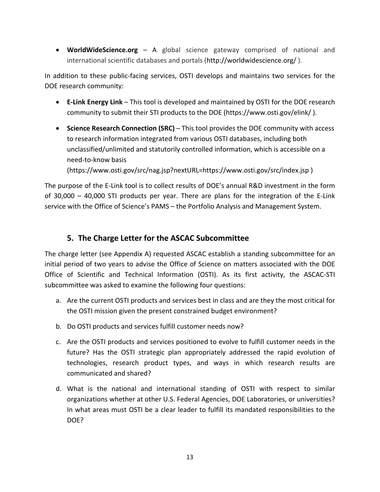**WorldWideScience.org** – A global science gateway comprised of national and international scientific databases and portals (http://worldwidescience.org/ ).

In addition to these public‐facing services, OSTI develops and maintains two services for the DOE research community:

- **E‐Link Energy Link** This tool is developed and maintained by OSTI for the DOE research community to submit their STI products to the DOE (https://www.osti.gov/elink/ ).
- **Science Research Connection (SRC)** This tool provides the DOE community with access to research information integrated from various OSTI databases, including both unclassified/unlimited and statutorily controlled information, which is accessible on a need‐to‐know basis

(https://www.osti.gov/src/nag.jsp?nextURL=https://www.osti.gov/src/index.jsp )

The purpose of the E‐Link tool is to collect results of DOE's annual R&D investment in the form of 30,000 – 40,000 STI products per year. There are plans for the integration of the E‐Link service with the Office of Science's PAMS – the Portfolio Analysis and Management System.

# **5. The Charge Letter for the ASCAC Subcommittee**

The charge letter (see Appendix A) requested ASCAC establish a standing subcommittee for an initial period of two years to advise the Office of Science on matters associated with the DOE Office of Scientific and Technical Information (OSTI). As its first activity, the ASCAC‐STI subcommittee was asked to examine the following four questions:

- a. Are the current OSTI products and services best in class and are they the most critical for the OSTI mission given the present constrained budget environment?
- b. Do OSTI products and services fulfill customer needs now?
- c. Are the OSTI products and services positioned to evolve to fulfill customer needs in the future? Has the OSTI strategic plan appropriately addressed the rapid evolution of technologies, research product types, and ways in which research results are communicated and shared?
- d. What is the national and international standing of OSTI with respect to similar organizations whether at other U.S. Federal Agencies, DOE Laboratories, or universities? In what areas must OSTI be a clear leader to fulfill its mandated responsibilities to the DO<sub>F?</sub>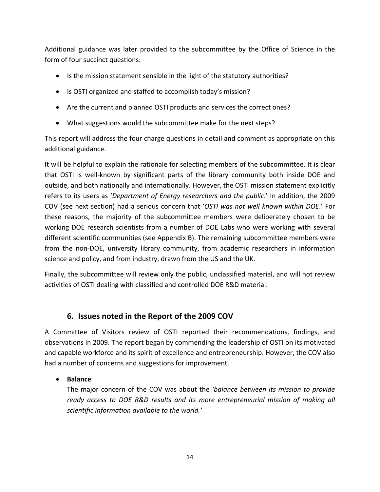Additional guidance was later provided to the subcommittee by the Office of Science in the form of four succinct questions:

- Is the mission statement sensible in the light of the statutory authorities?
- Is OSTI organized and staffed to accomplish today's mission?
- Are the current and planned OSTI products and services the correct ones?
- What suggestions would the subcommittee make for the next steps?

This report will address the four charge questions in detail and comment as appropriate on this additional guidance.

It will be helpful to explain the rationale for selecting members of the subcommittee. It is clear that OSTI is well‐known by significant parts of the library community both inside DOE and outside, and both nationally and internationally. However, the OSTI mission statement explicitly refers to its users as '*Department of Energy researchers and the public*.' In addition, the 2009 COV (see next section) had a serious concern that '*OSTI was not well known within DOE*.' For these reasons, the majority of the subcommittee members were deliberately chosen to be working DOE research scientists from a number of DOE Labs who were working with several different scientific communities (see Appendix B). The remaining subcommittee members were from the non‐DOE, university library community, from academic researchers in information science and policy, and from industry, drawn from the US and the UK.

Finally, the subcommittee will review only the public, unclassified material, and will not review activities of OSTI dealing with classified and controlled DOE R&D material.

# **6. Issues noted in the Report of the 2009 COV**

A Committee of Visitors review of OSTI reported their recommendations, findings, and observations in 2009. The report began by commending the leadership of OSTI on its motivated and capable workforce and its spirit of excellence and entrepreneurship. However, the COV also had a number of concerns and suggestions for improvement.

## **Balance**

The major concern of the COV was about the *'balance between its mission to provide ready access to DOE R&D results and its more entrepreneurial mission of making all scientific information available to the world.'*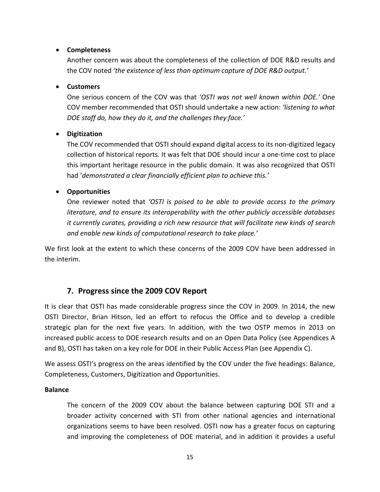### **Completeness**

Another concern was about the completeness of the collection of DOE R&D results and the COV noted *'the existence of less than optimum capture of DOE R&D output.'*

### **Customers**

One serious concern of the COV was that *'OSTI was not well known within DOE.'* One COV member recommended that OSTI should undertake a new action: *'listening to what DOE staff do, how they do it, and the challenges they face.'*

### **Digitization**

The COV recommended that OSTI should expand digital access to its non‐digitized legacy collection of historical reports. It was felt that DOE should incur a one‐time cost to place this important heritage resource in the public domain. It was also recognized that OSTI had '*demonstrated a clear financially efficient plan to achieve this.'*

### **Opportunities**

One reviewer noted that *'OSTI is poised to be able to provide access to the primary literature, and to ensure its interoperability with the other publicly accessible databases it currently curates, providing a rich new resource that will facilitate new kinds of search and enable new kinds of computational research to take place.'*

We first look at the extent to which these concerns of the 2009 COV have been addressed in the interim.

## **7. Progress since the 2009 COV Report**

It is clear that OSTI has made considerable progress since the COV in 2009. In 2014, the new OSTI Director, Brian Hitson, led an effort to refocus the Office and to develop a credible strategic plan for the next five years. In addition, with the two OSTP memos in 2013 on increased public access to DOE research results and on an Open Data Policy (see Appendices A and B), OSTI has taken on a key role for DOE in their Public Access Plan (see Appendix C).

We assess OSTI's progress on the areas identified by the COV under the five headings: Balance, Completeness, Customers, Digitization and Opportunities.

### **Balance**

The concern of the 2009 COV about the balance between capturing DOE STI and a broader activity concerned with STI from other national agencies and international organizations seems to have been resolved. OSTI now has a greater focus on capturing and improving the completeness of DOE material, and in addition it provides a useful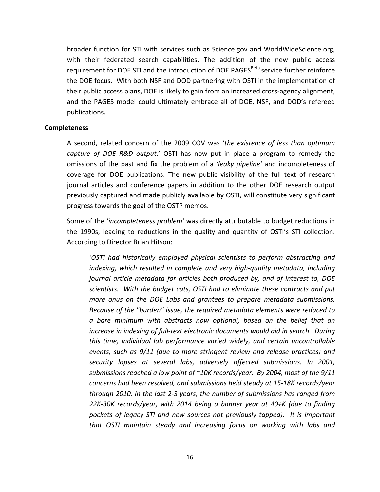broader function for STI with services such as Science.gov and WorldWideScience.org, with their federated search capabilities. The addition of the new public access requirement for DOE STI and the introduction of DOE PAGES<sup>Beta</sup> service further reinforce the DOE focus. With both NSF and DOD partnering with OSTI in the implementation of their public access plans, DOE is likely to gain from an increased cross‐agency alignment, and the PAGES model could ultimately embrace all of DOE, NSF, and DOD's refereed publications.

#### **Completeness**

A second, related concern of the 2009 COV was '*the existence of less than optimum capture of DOE R&D output*.' OSTI has now put in place a program to remedy the omissions of the past and fix the problem of a *'leaky pipeline'* and incompleteness of coverage for DOE publications. The new public visibility of the full text of research journal articles and conference papers in addition to the other DOE research output previously captured and made publicly available by OSTI, will constitute very significant progress towards the goal of the OSTP memos.

Some of the '*incompleteness problem'* was directly attributable to budget reductions in the 1990s, leading to reductions in the quality and quantity of OSTI's STI collection. According to Director Brian Hitson:

*'OSTI had historically employed physical scientists to perform abstracting and indexing, which resulted in complete and very high‐quality metadata, including journal article metadata for articles both produced by, and of interest to, DOE scientists. With the budget cuts, OSTI had to eliminate these contracts and put more onus on the DOE Labs and grantees to prepare metadata submissions. Because of the "burden" issue, the required metadata elements were reduced to a bare minimum with abstracts now optional, based on the belief that an increase in indexing of full‐text electronic documents would aid in search. During this time, individual lab performance varied widely, and certain uncontrollable events, such as 9/11 (due to more stringent review and release practices) and security lapses at several labs, adversely affected submissions. In 2001, submissions reached a low point of ~10K records/year. By 2004, most of the 9/11 concerns had been resolved, and submissions held steady at 15‐18K records/year through 2010. In the last 2‐3 years, the number of submissions has ranged from 22K‐30K records/year, with 2014 being a banner year at 40+K (due to finding pockets of legacy STI and new sources not previously tapped). It is important that OSTI maintain steady and increasing focus on working with labs and*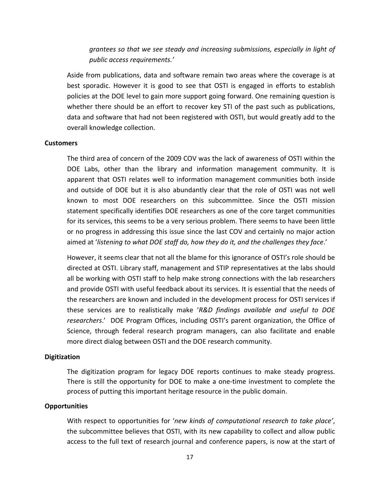*grantees so that we see steady and increasing submissions, especially in light of public access requirements.'*

Aside from publications, data and software remain two areas where the coverage is at best sporadic. However it is good to see that OSTI is engaged in efforts to establish policies at the DOE level to gain more support going forward. One remaining question is whether there should be an effort to recover key STI of the past such as publications, data and software that had not been registered with OSTI, but would greatly add to the overall knowledge collection.

#### **Customers**

The third area of concern of the 2009 COV was the lack of awareness of OSTI within the DOE Labs, other than the library and information management community. It is apparent that OSTI relates well to information management communities both inside and outside of DOE but it is also abundantly clear that the role of OSTI was not well known to most DOE researchers on this subcommittee. Since the OSTI mission statement specifically identifies DOE researchers as one of the core target communities for its services, this seems to be a very serious problem. There seems to have been little or no progress in addressing this issue since the last COV and certainly no major action aimed at '*listening to what DOE staff do, how they do it, and the challenges they face*.'

However, it seems clear that not all the blame for this ignorance of OSTI's role should be directed at OSTI. Library staff, management and STIP representatives at the labs should all be working with OSTI staff to help make strong connections with the lab researchers and provide OSTI with useful feedback about its services. It is essential that the needs of the researchers are known and included in the development process for OSTI services if these services are to realistically make '*R&D findings available and useful to DOE researchers*.' DOE Program Offices, including OSTI's parent organization, the Office of Science, through federal research program managers, can also facilitate and enable more direct dialog between OSTI and the DOE research community.

### **Digitization**

The digitization program for legacy DOE reports continues to make steady progress. There is still the opportunity for DOE to make a one‐time investment to complete the process of putting this important heritage resource in the public domain.

### **Opportunities**

With respect to opportunities for '*new kinds of computational research to take place'*, the subcommittee believes that OSTI, with its new capability to collect and allow public access to the full text of research journal and conference papers, is now at the start of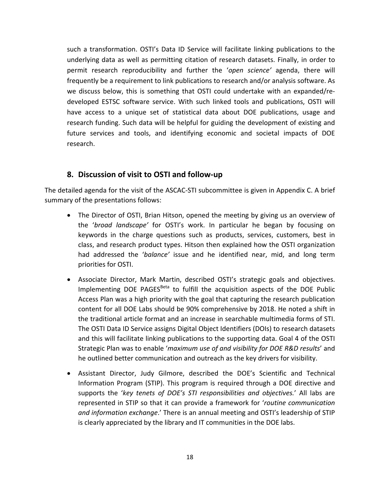such a transformation. OSTI's Data ID Service will facilitate linking publications to the underlying data as well as permitting citation of research datasets. Finally, in order to permit research reproducibility and further the '*open science'* agenda, there will frequently be a requirement to link publications to research and/or analysis software. As we discuss below, this is something that OSTI could undertake with an expanded/re‐ developed ESTSC software service. With such linked tools and publications, OSTI will have access to a unique set of statistical data about DOE publications, usage and research funding. Such data will be helpful for guiding the development of existing and future services and tools, and identifying economic and societal impacts of DOE research.

## **8. Discussion of visit to OSTI and follow‐up**

The detailed agenda for the visit of the ASCAC‐STI subcommittee is given in Appendix C. A brief summary of the presentations follows:

- The Director of OSTI, Brian Hitson, opened the meeting by giving us an overview of the '*broad landscape'* for OSTI's work. In particular he began by focusing on keywords in the charge questions such as products, services, customers, best in class, and research product types. Hitson then explained how the OSTI organization had addressed the '*balance'* issue and he identified near, mid, and long term priorities for OSTI.
- Associate Director, Mark Martin, described OSTI's strategic goals and objectives. Implementing DOE PAGES<sup>Beta</sup> to fulfill the acquisition aspects of the DOE Public Access Plan was a high priority with the goal that capturing the research publication content for all DOE Labs should be 90% comprehensive by 2018. He noted a shift in the traditional article format and an increase in searchable multimedia forms of STI. The OSTI Data ID Service assigns Digital Object Identifiers (DOIs) to research datasets and this will facilitate linking publications to the supporting data. Goal 4 of the OSTI Strategic Plan was to enable '*maximum use of and visibility for DOE R&D results*' and he outlined better communication and outreach as the key drivers for visibility.
- Assistant Director, Judy Gilmore, described the DOE's Scientific and Technical Information Program (STIP). This program is required through a DOE directive and supports the '*key tenets of DOE's STI responsibilities and objectives.*' All labs are represented in STIP so that it can provide a framework for '*routine communication and information exchange*.' There is an annual meeting and OSTI's leadership of STIP is clearly appreciated by the library and IT communities in the DOE labs.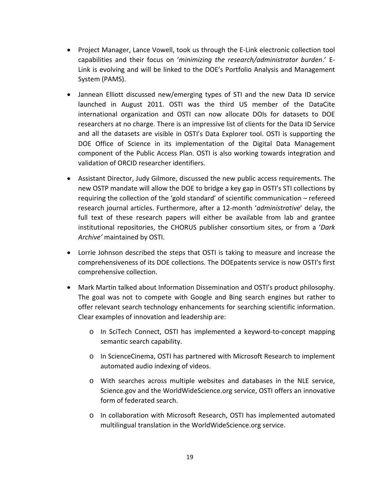- Project Manager, Lance Vowell, took us through the E-Link electronic collection tool capabilities and their focus on '*minimizing the research/administrator burden*.' E‐ Link is evolving and will be linked to the DOE's Portfolio Analysis and Management System (PAMS).
- Jannean Elliott discussed new/emerging types of STI and the new Data ID service launched in August 2011. OSTI was the third US member of the DataCite international organization and OSTI can now allocate DOIs for datasets to DOE researchers at no charge. There is an impressive list of clients for the Data ID Service and all the datasets are visible in OSTI's Data Explorer tool. OSTI is supporting the DOE Office of Science in its implementation of the Digital Data Management component of the Public Access Plan. OSTI is also working towards integration and validation of ORCID researcher identifiers.
- Assistant Director, Judy Gilmore, discussed the new public access requirements. The new OSTP mandate will allow the DOE to bridge a key gap in OSTI's STI collections by requiring the collection of the 'gold standard' of scientific communication – refereed research journal articles. Furthermore, after a 12‐month '*administrative*' delay, the full text of these research papers will either be available from lab and grantee institutional repositories, the CHORUS publisher consortium sites, or from a '*Dark Archive'* maintained by OSTI.
- Lorrie Johnson described the steps that OSTI is taking to measure and increase the comprehensiveness of its DOE collections. The DOEpatents service is now OSTI's first comprehensive collection.
- Mark Martin talked about Information Dissemination and OSTI's product philosophy. The goal was not to compete with Google and Bing search engines but rather to offer relevant search technology enhancements for searching scientific information. Clear examples of innovation and leadership are:
	- o In SciTech Connect, OSTI has implemented a keyword‐to‐concept mapping semantic search capability.
	- o In ScienceCinema, OSTI has partnered with Microsoft Research to implement automated audio indexing of videos.
	- o With searches across multiple websites and databases in the NLE service, Science.gov and the WorldWideScience.org service, OSTI offers an innovative form of federated search.
	- o In collaboration with Microsoft Research, OSTI has implemented automated multilingual translation in the WorldWideScience.org service.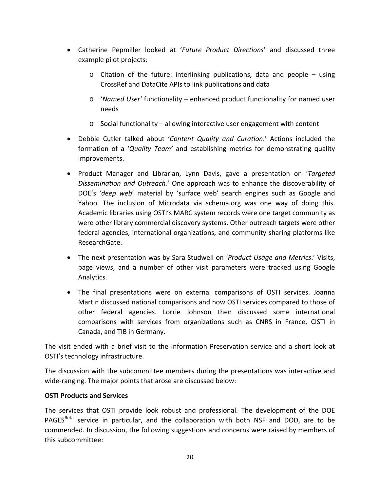- Catherine Pepmiller looked at '*Future Product Directions*' and discussed three example pilot projects:
	- o Citation of the future: interlinking publications, data and people using CrossRef and DataCite APIs to link publications and data
	- o '*Named User'* functionality enhanced product functionality for named user needs
	- o Social functionality allowing interactive user engagement with content
- Debbie Cutler talked about '*Content Quality and Curation*.' Actions included the formation of a '*Quality Team'* and establishing metrics for demonstrating quality improvements.
- Product Manager and Librarian, Lynn Davis, gave a presentation on '*Targeted Dissemination and Outreach.*' One approach was to enhance the discoverability of DOE's '*deep web*' material by 'surface web' search engines such as Google and Yahoo. The inclusion of Microdata via schema.org was one way of doing this. Academic libraries using OSTI's MARC system records were one target community as were other library commercial discovery systems. Other outreach targets were other federal agencies, international organizations, and community sharing platforms like ResearchGate.
- The next presentation was by Sara Studwell on '*Product Usage and Metrics*.' Visits, page views, and a number of other visit parameters were tracked using Google Analytics.
- The final presentations were on external comparisons of OSTI services. Joanna Martin discussed national comparisons and how OSTI services compared to those of other federal agencies. Lorrie Johnson then discussed some international comparisons with services from organizations such as CNRS in France, CISTI in Canada, and TIB in Germany.

The visit ended with a brief visit to the Information Preservation service and a short look at OSTI's technology infrastructure.

The discussion with the subcommittee members during the presentations was interactive and wide-ranging. The major points that arose are discussed below:

## **OSTI Products and Services**

The services that OSTI provide look robust and professional. The development of the DOE PAGES<sup>Beta</sup> service in particular, and the collaboration with both NSF and DOD, are to be commended. In discussion, the following suggestions and concerns were raised by members of this subcommittee: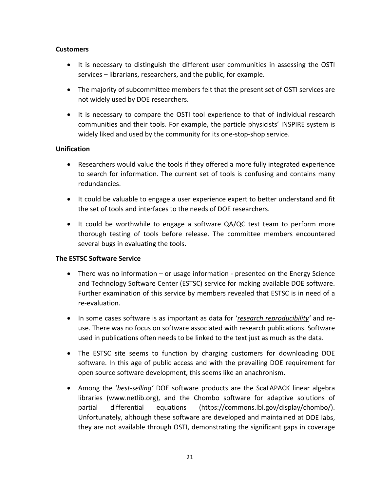### **Customers**

- It is necessary to distinguish the different user communities in assessing the OSTI services – librarians, researchers, and the public, for example.
- The majority of subcommittee members felt that the present set of OSTI services are not widely used by DOE researchers.
- It is necessary to compare the OSTI tool experience to that of individual research communities and their tools. For example, the particle physicists' INSPIRE system is widely liked and used by the community for its one‐stop‐shop service.

## **Unification**

- Researchers would value the tools if they offered a more fully integrated experience to search for information. The current set of tools is confusing and contains many redundancies.
- It could be valuable to engage a user experience expert to better understand and fit the set of tools and interfaces to the needs of DOE researchers.
- It could be worthwhile to engage a software QA/QC test team to perform more thorough testing of tools before release. The committee members encountered several bugs in evaluating the tools.

### **The ESTSC Software Service**

- There was no information or usage information presented on the Energy Science and Technology Software Center (ESTSC) service for making available DOE software. Further examination of this service by members revealed that ESTSC is in need of a re‐evaluation.
- In some cases software is as important as data for '*research reproducibility'* and reuse. There was no focus on software associated with research publications. Software used in publications often needs to be linked to the text just as much as the data.
- The ESTSC site seems to function by charging customers for downloading DOE software. In this age of public access and with the prevailing DOE requirement for open source software development, this seems like an anachronism.
- Among the *'best-selling'* DOE software products are the ScaLAPACK linear algebra libraries (www.netlib.org), and the Chombo software for adaptive solutions of partial differential equations (https://commons.lbl.gov/display/chombo/). Unfortunately, although these software are developed and maintained at DOE labs, they are not available through OSTI, demonstrating the significant gaps in coverage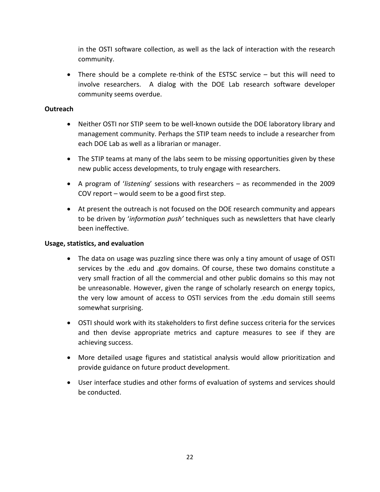in the OSTI software collection, as well as the lack of interaction with the research community.

■ There should be a complete re-think of the ESTSC service – but this will need to involve researchers. A dialog with the DOE Lab research software developer community seems overdue.

### **Outreach**

- Neither OSTI nor STIP seem to be well-known outside the DOE laboratory library and management community. Perhaps the STIP team needs to include a researcher from each DOE Lab as well as a librarian or manager.
- The STIP teams at many of the labs seem to be missing opportunities given by these new public access developments, to truly engage with researchers.
- A program of '*listening*' sessions with researchers as recommended in the 2009 COV report – would seem to be a good first step.
- At present the outreach is not focused on the DOE research community and appears to be driven by '*information push'* techniques such as newsletters that have clearly been ineffective.

### **Usage, statistics, and evaluation**

- The data on usage was puzzling since there was only a tiny amount of usage of OSTI services by the .edu and .gov domains. Of course, these two domains constitute a very small fraction of all the commercial and other public domains so this may not be unreasonable. However, given the range of scholarly research on energy topics, the very low amount of access to OSTI services from the .edu domain still seems somewhat surprising.
- OSTI should work with its stakeholders to first define success criteria for the services and then devise appropriate metrics and capture measures to see if they are achieving success.
- More detailed usage figures and statistical analysis would allow prioritization and provide guidance on future product development.
- User interface studies and other forms of evaluation of systems and services should be conducted.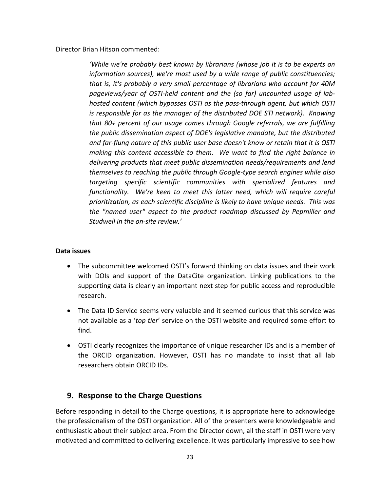Director Brian Hitson commented:

*'While we're probably best known by librarians (whose job it is to be experts on information sources), we're most used by a wide range of public constituencies; that is, it's probably a very small percentage of librarians who account for 40M pageviews/year of OSTI‐held content and the (so far) uncounted usage of lab‐ hosted content (which bypasses OSTI as the pass‐through agent, but which OSTI is responsible for as the manager of the distributed DOE STI network). Knowing that 80+ percent of our usage comes through Google referrals, we are fulfilling the public dissemination aspect of DOE's legislative mandate, but the distributed and far‐flung nature of this public user base doesn't know or retain that it is OSTI making this content accessible to them. We want to find the right balance in delivering products that meet public dissemination needs/requirements and lend themselves to reaching the public through Google‐type search engines while also targeting specific scientific communities with specialized features and functionality. We're keen to meet this latter need, which will require careful prioritization, as each scientific discipline is likely to have unique needs. This was the "named user" aspect to the product roadmap discussed by Pepmiller and Studwell in the on‐site review.'*

### **Data issues**

- The subcommittee welcomed OSTI's forward thinking on data issues and their work with DOIs and support of the DataCite organization. Linking publications to the supporting data is clearly an important next step for public access and reproducible research.
- The Data ID Service seems very valuable and it seemed curious that this service was not available as a '*top tier*' service on the OSTI website and required some effort to find.
- OSTI clearly recognizes the importance of unique researcher IDs and is a member of the ORCID organization. However, OSTI has no mandate to insist that all lab researchers obtain ORCID IDs.

## **9. Response to the Charge Questions**

Before responding in detail to the Charge questions, it is appropriate here to acknowledge the professionalism of the OSTI organization. All of the presenters were knowledgeable and enthusiastic about their subject area. From the Director down, all the staff in OSTI were very motivated and committed to delivering excellence. It was particularly impressive to see how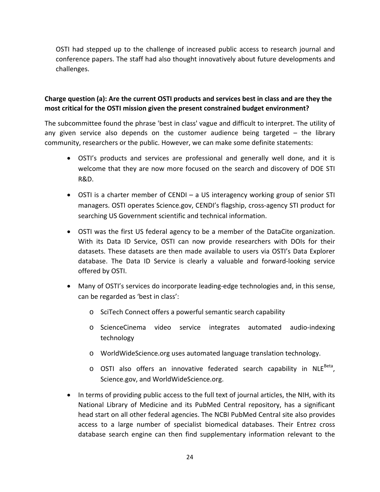OSTI had stepped up to the challenge of increased public access to research journal and conference papers. The staff had also thought innovatively about future developments and challenges.

## **Charge question (a): Are the current OSTI products and services best in class and are they the most critical for the OSTI mission given the present constrained budget environment?**

The subcommittee found the phrase 'best in class' vague and difficult to interpret. The utility of any given service also depends on the customer audience being targeted – the library community, researchers or the public. However, we can make some definite statements:

- OSTI's products and services are professional and generally well done, and it is welcome that they are now more focused on the search and discovery of DOE STI R&D.
- OSTI is a charter member of CENDI a US interagency working group of senior STI managers. OSTI operates Science.gov, CENDI's flagship, cross‐agency STI product for searching US Government scientific and technical information.
- OSTI was the first US federal agency to be a member of the DataCite organization. With its Data ID Service, OSTI can now provide researchers with DOIs for their datasets. These datasets are then made available to users via OSTI's Data Explorer database. The Data ID Service is clearly a valuable and forward‐looking service offered by OSTI.
- Many of OSTI's services do incorporate leading-edge technologies and, in this sense, can be regarded as 'best in class':
	- o SciTech Connect offers a powerful semantic search capability
	- o ScienceCinema video service integrates automated audio‐indexing technology
	- o WorldWideScience.org uses automated language translation technology.
	- $\circ$  OSTI also offers an innovative federated search capability in NLE<sup>Beta</sup>, Science.gov, and WorldWideScience.org.
- In terms of providing public access to the full text of journal articles, the NIH, with its National Library of Medicine and its PubMed Central repository, has a significant head start on all other federal agencies. The NCBI PubMed Central site also provides access to a large number of specialist biomedical databases. Their Entrez cross database search engine can then find supplementary information relevant to the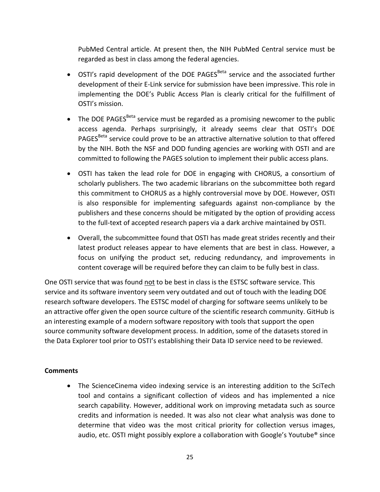PubMed Central article. At present then, the NIH PubMed Central service must be regarded as best in class among the federal agencies.

- $\bullet$  OSTI's rapid development of the DOE PAGES<sup>Beta</sup> service and the associated further development of their E‐Link service for submission have been impressive. This role in implementing the DOE's Public Access Plan is clearly critical for the fulfillment of OSTI's mission.
- $\bullet$  The DOE PAGES<sup>Beta</sup> service must be regarded as a promising newcomer to the public access agenda. Perhaps surprisingly, it already seems clear that OSTI's DOE PAGES<sup>Beta</sup> service could prove to be an attractive alternative solution to that offered by the NIH. Both the NSF and DOD funding agencies are working with OSTI and are committed to following the PAGES solution to implement their public access plans.
- OSTI has taken the lead role for DOE in engaging with CHORUS, a consortium of scholarly publishers. The two academic librarians on the subcommittee both regard this commitment to CHORUS as a highly controversial move by DOE. However, OSTI is also responsible for implementing safeguards against non‐compliance by the publishers and these concerns should be mitigated by the option of providing access to the full‐text of accepted research papers via a dark archive maintained by OSTI.
- Overall, the subcommittee found that OSTI has made great strides recently and their latest product releases appear to have elements that are best in class. However, a focus on unifying the product set, reducing redundancy, and improvements in content coverage will be required before they can claim to be fully best in class.

One OSTI service that was found not to be best in class is the ESTSC software service. This service and its software inventory seem very outdated and out of touch with the leading DOE research software developers. The ESTSC model of charging for software seems unlikely to be an attractive offer given the open source culture of the scientific research community. GitHub is an interesting example of a modern software repository with tools that support the open source community software development process. In addition, some of the datasets stored in the Data Explorer tool prior to OSTI's establishing their Data ID service need to be reviewed.

### **Comments**

 The ScienceCinema video indexing service is an interesting addition to the SciTech tool and contains a significant collection of videos and has implemented a nice search capability. However, additional work on improving metadata such as source credits and information is needed. It was also not clear what analysis was done to determine that video was the most critical priority for collection versus images, audio, etc. OSTI might possibly explore a collaboration with Google's Youtube® since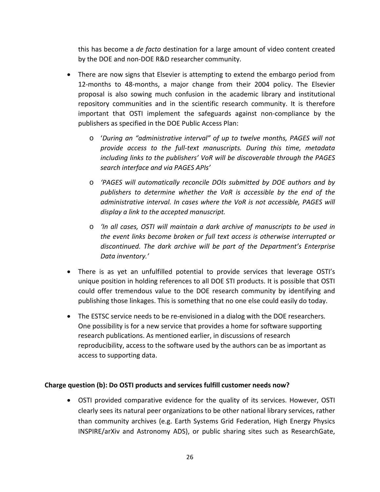this has become a *de facto* destination for a large amount of video content created by the DOE and non‐DOE R&D researcher community.

- There are now signs that Elsevier is attempting to extend the embargo period from 12-months to 48-months, a major change from their 2004 policy. The Elsevier proposal is also sowing much confusion in the academic library and institutional repository communities and in the scientific research community. It is therefore important that OSTI implement the safeguards against non‐compliance by the publishers as specified in the DOE Public Access Plan:
	- o '*During an "administrative interval" of up to twelve months, PAGES will not provide access to the full‐text manuscripts. During this time, metadata including links to the publishers' VoR will be discoverable through the PAGES search interface and via PAGES APIs'*
	- o *'PAGES will automatically reconcile DOIs submitted by DOE authors and by publishers to determine whether the VoR is accessible by the end of the administrative interval. In cases where the VoR is not accessible, PAGES will display a link to the accepted manuscript.*
	- o *'In all cases, OSTI will maintain a dark archive of manuscripts to be used in the event links become broken or full text access is otherwise interrupted or discontinued. The dark archive will be part of the Department's Enterprise Data inventory.'*
- There is as yet an unfulfilled potential to provide services that leverage OSTI's unique position in holding references to all DOE STI products. It is possible that OSTI could offer tremendous value to the DOE research community by identifying and publishing those linkages. This is something that no one else could easily do today.
- The ESTSC service needs to be re-envisioned in a dialog with the DOE researchers. One possibility is for a new service that provides a home for software supporting research publications. As mentioned earlier, in discussions of research reproducibility, access to the software used by the authors can be as important as access to supporting data.

### **Charge question (b): Do OSTI products and services fulfill customer needs now?**

 OSTI provided comparative evidence for the quality of its services. However, OSTI clearly sees its natural peer organizations to be other national library services, rather than community archives (e.g. Earth Systems Grid Federation, High Energy Physics INSPIRE/arXiv and Astronomy ADS), or public sharing sites such as ResearchGate,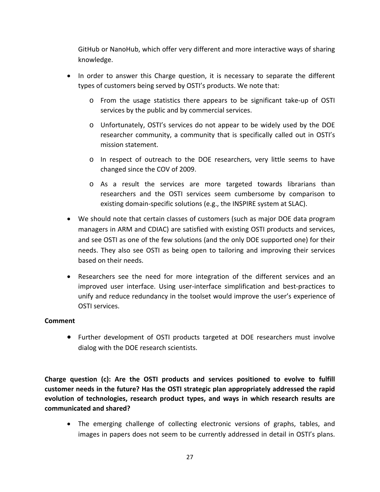GitHub or NanoHub, which offer very different and more interactive ways of sharing knowledge.

- In order to answer this Charge question, it is necessary to separate the different types of customers being served by OSTI's products. We note that:
	- o From the usage statistics there appears to be significant take‐up of OSTI services by the public and by commercial services.
	- o Unfortunately, OSTI's services do not appear to be widely used by the DOE researcher community, a community that is specifically called out in OSTI's mission statement.
	- o In respect of outreach to the DOE researchers, very little seems to have changed since the COV of 2009.
	- o As a result the services are more targeted towards librarians than researchers and the OSTI services seem cumbersome by comparison to existing domain‐specific solutions (e.g., the INSPIRE system at SLAC).
- We should note that certain classes of customers (such as major DOE data program managers in ARM and CDIAC) are satisfied with existing OSTI products and services, and see OSTI as one of the few solutions (and the only DOE supported one) for their needs. They also see OSTI as being open to tailoring and improving their services based on their needs.
- Researchers see the need for more integration of the different services and an improved user interface. Using user-interface simplification and best-practices to unify and reduce redundancy in the toolset would improve the user's experience of OSTI services.

### **Comment**

 Further development of OSTI products targeted at DOE researchers must involve dialog with the DOE research scientists.

**Charge question (c): Are the OSTI products and services positioned to evolve to fulfill customer needs in the future? Has the OSTI strategic plan appropriately addressed the rapid evolution of technologies, research product types, and ways in which research results are communicated and shared?**

 The emerging challenge of collecting electronic versions of graphs, tables, and images in papers does not seem to be currently addressed in detail in OSTI's plans.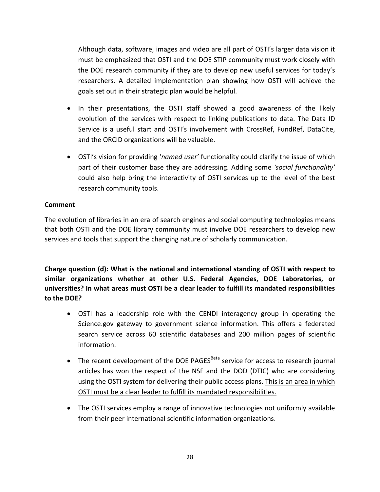Although data, software, images and video are all part of OSTI's larger data vision it must be emphasized that OSTI and the DOE STIP community must work closely with the DOE research community if they are to develop new useful services for today's researchers. A detailed implementation plan showing how OSTI will achieve the goals set out in their strategic plan would be helpful.

- In their presentations, the OSTI staff showed a good awareness of the likely evolution of the services with respect to linking publications to data. The Data ID Service is a useful start and OSTI's involvement with CrossRef, FundRef, DataCite, and the ORCID organizations will be valuable.
- OSTI's vision for providing '*named user'* functionality could clarify the issue of which part of their customer base they are addressing. Adding some *'social functionality'* could also help bring the interactivity of OSTI services up to the level of the best research community tools.

## **Comment**

The evolution of libraries in an era of search engines and social computing technologies means that both OSTI and the DOE library community must involve DOE researchers to develop new services and tools that support the changing nature of scholarly communication.

**Charge question (d): What is the national and international standing of OSTI with respect to similar organizations whether at other U.S. Federal Agencies, DOE Laboratories, or universities? In what areas must OSTI be a clear leader to fulfill its mandated responsibilities to the DOE?**

- OSTI has a leadership role with the CENDI interagency group in operating the Science.gov gateway to government science information. This offers a federated search service across 60 scientific databases and 200 million pages of scientific information.
- $\bullet$  The recent development of the DOE PAGES<sup>Beta</sup> service for access to research journal articles has won the respect of the NSF and the DOD (DTIC) who are considering using the OSTI system for delivering their public access plans. This is an area in which OSTI must be a clear leader to fulfill its mandated responsibilities.
- The OSTI services employ a range of innovative technologies not uniformly available from their peer international scientific information organizations.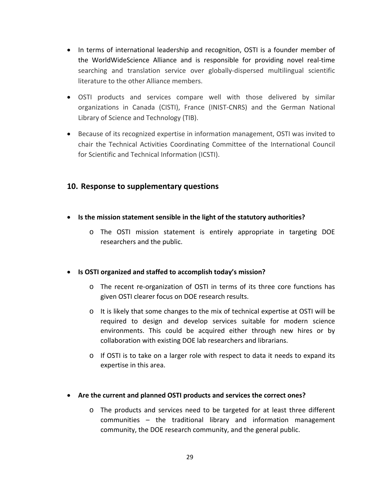- In terms of international leadership and recognition, OSTI is a founder member of the WorldWideScience Alliance and is responsible for providing novel real‐time searching and translation service over globally‐dispersed multilingual scientific literature to the other Alliance members.
- OSTI products and services compare well with those delivered by similar organizations in Canada (CISTI), France (INIST‐CNRS) and the German National Library of Science and Technology (TIB).
- Because of its recognized expertise in information management, OSTI was invited to chair the Technical Activities Coordinating Committee of the International Council for Scientific and Technical Information (ICSTI).

## **10. Response to supplementary questions**

- **Is the mission statement sensible in the light of the statutory authorities?**
	- o The OSTI mission statement is entirely appropriate in targeting DOE researchers and the public.

### **Is OSTI organized and staffed to accomplish today's mission?**

- o The recent re‐organization of OSTI in terms of its three core functions has given OSTI clearer focus on DOE research results.
- $\circ$  It is likely that some changes to the mix of technical expertise at OSTI will be required to design and develop services suitable for modern science environments. This could be acquired either through new hires or by collaboration with existing DOE lab researchers and librarians.
- $\circ$  If OSTI is to take on a larger role with respect to data it needs to expand its expertise in this area.

### **Are the current and planned OSTI products and services the correct ones?**

o The products and services need to be targeted for at least three different communities – the traditional library and information management community, the DOE research community, and the general public.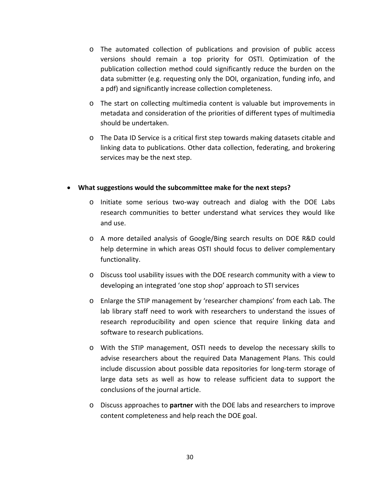- o The automated collection of publications and provision of public access versions should remain a top priority for OSTI. Optimization of the publication collection method could significantly reduce the burden on the data submitter (e.g. requesting only the DOI, organization, funding info, and a pdf) and significantly increase collection completeness.
- o The start on collecting multimedia content is valuable but improvements in metadata and consideration of the priorities of different types of multimedia should be undertaken.
- o The Data ID Service is a critical first step towards making datasets citable and linking data to publications. Other data collection, federating, and brokering services may be the next step.

#### **What suggestions would the subcommittee make for the next steps?**

- o Initiate some serious two‐way outreach and dialog with the DOE Labs research communities to better understand what services they would like and use.
- o A more detailed analysis of Google/Bing search results on DOE R&D could help determine in which areas OSTI should focus to deliver complementary functionality.
- o Discuss tool usability issues with the DOE research community with a view to developing an integrated 'one stop shop' approach to STI services
- o Enlarge the STIP management by 'researcher champions' from each Lab. The lab library staff need to work with researchers to understand the issues of research reproducibility and open science that require linking data and software to research publications.
- o With the STIP management, OSTI needs to develop the necessary skills to advise researchers about the required Data Management Plans. This could include discussion about possible data repositories for long‐term storage of large data sets as well as how to release sufficient data to support the conclusions of the journal article.
- o Discuss approaches to **partner** with the DOE labs and researchers to improve content completeness and help reach the DOE goal.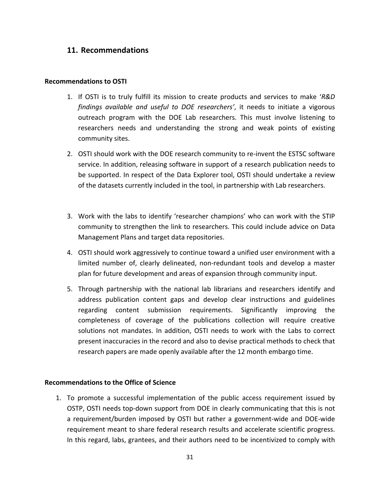## **11. Recommendations**

#### **Recommendations to OSTI**

- 1. If OSTI is to truly fulfill its mission to create products and services to make '*R&D findings available and useful to DOE researchers'*, it needs to initiate a vigorous outreach program with the DOE Lab researchers. This must involve listening to researchers needs and understanding the strong and weak points of existing community sites.
- 2. OSTI should work with the DOE research community to re-invent the ESTSC software service. In addition, releasing software in support of a research publication needs to be supported. In respect of the Data Explorer tool, OSTI should undertake a review of the datasets currently included in the tool, in partnership with Lab researchers.
- 3. Work with the labs to identify 'researcher champions' who can work with the STIP community to strengthen the link to researchers. This could include advice on Data Management Plans and target data repositories.
- 4. OSTI should work aggressively to continue toward a unified user environment with a limited number of, clearly delineated, non‐redundant tools and develop a master plan for future development and areas of expansion through community input.
- 5. Through partnership with the national lab librarians and researchers identify and address publication content gaps and develop clear instructions and guidelines regarding content submission requirements. Significantly improving the completeness of coverage of the publications collection will require creative solutions not mandates. In addition, OSTI needs to work with the Labs to correct present inaccuracies in the record and also to devise practical methods to check that research papers are made openly available after the 12 month embargo time.

#### **Recommendations to the Office of Science**

1. To promote a successful implementation of the public access requirement issued by OSTP, OSTI needs top‐down support from DOE in clearly communicating that this is not a requirement/burden imposed by OSTI but rather a government‐wide and DOE‐wide requirement meant to share federal research results and accelerate scientific progress. In this regard, labs, grantees, and their authors need to be incentivized to comply with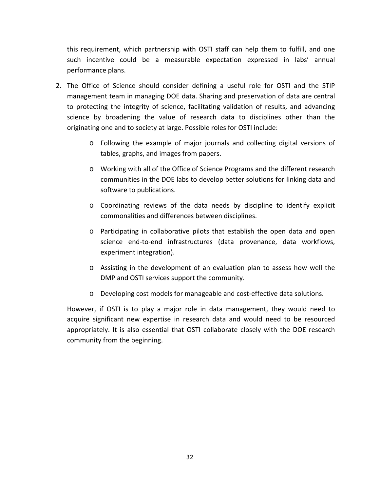this requirement, which partnership with OSTI staff can help them to fulfill, and one such incentive could be a measurable expectation expressed in labs' annual performance plans.

- 2. The Office of Science should consider defining a useful role for OSTI and the STIP management team in managing DOE data. Sharing and preservation of data are central to protecting the integrity of science, facilitating validation of results, and advancing science by broadening the value of research data to disciplines other than the originating one and to society at large. Possible roles for OSTI include:
	- o Following the example of major journals and collecting digital versions of tables, graphs, and images from papers.
	- o Working with all of the Office of Science Programs and the different research communities in the DOE labs to develop better solutions for linking data and software to publications.
	- o Coordinating reviews of the data needs by discipline to identify explicit commonalities and differences between disciplines.
	- o Participating in collaborative pilots that establish the open data and open science end‐to‐end infrastructures (data provenance, data workflows, experiment integration).
	- o Assisting in the development of an evaluation plan to assess how well the DMP and OSTI services support the community.
	- o Developing cost models for manageable and cost‐effective data solutions.

However, if OSTI is to play a major role in data management, they would need to acquire significant new expertise in research data and would need to be resourced appropriately. It is also essential that OSTI collaborate closely with the DOE research community from the beginning.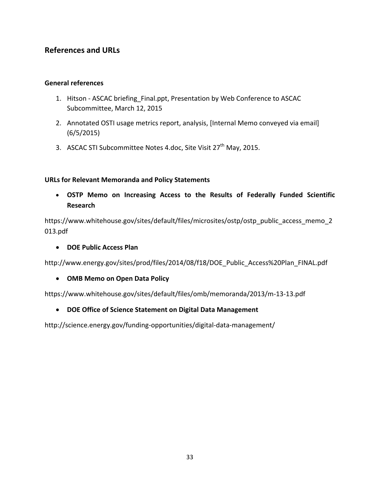# **References and URLs**

### **General references**

- 1. Hitson ASCAC briefing Final.ppt, Presentation by Web Conference to ASCAC Subcommittee, March 12, 2015
- 2. Annotated OSTI usage metrics report, analysis, [Internal Memo conveyed via email] (6/5/2015)
- 3. ASCAC STI Subcommittee Notes 4.doc, Site Visit 27<sup>th</sup> May, 2015.

### **URLs for Relevant Memoranda and Policy Statements**

 **OSTP Memo on Increasing Access to the Results of Federally Funded Scientific Research**

https://www.whitehouse.gov/sites/default/files/microsites/ostp/ostp\_public\_access\_memo\_2 013.pdf

**DOE Public Access Plan**

http://www.energy.gov/sites/prod/files/2014/08/f18/DOE\_Public\_Access%20Plan\_FINAL.pdf

**OMB Memo on Open Data Policy**

https://www.whitehouse.gov/sites/default/files/omb/memoranda/2013/m‐13‐13.pdf

**DOE Office of Science Statement on Digital Data Management**

http://science.energy.gov/funding-opportunities/digital-data-management/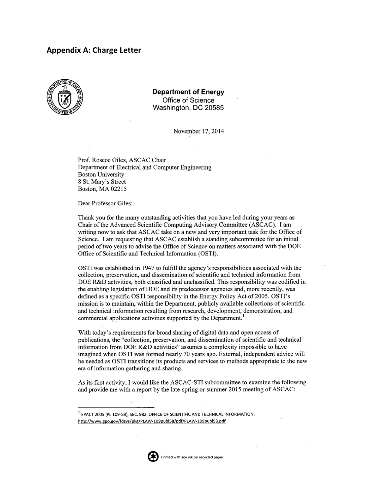### **Appendix A: Charge Letter**



**Department of Energy** Office of Science Washington, DC 20585

November 17, 2014

Prof. Roscoe Giles, ASCAC Chair Department of Electrical and Computer Engineering **Boston University** 8 St. Mary's Street Boston, MA 02215

Dear Professor Giles:

Thank you for the many outstanding activities that you have led during your years as Chair of the Advanced Scientific Computing Advisory Committee (ASCAC). I am writing now to ask that ASCAC take on a new and very important task for the Office of Science. I am requesting that ASCAC establish a standing subcommittee for an initial period of two years to advise the Office of Science on matters associated with the DOE Office of Scientific and Technical Information (OSTI).

OSTI was established in 1947 to fulfill the agency's responsibilities associated with the collection, preservation, and dissemination of scientific and technical information from DOE R&D activities, both classified and unclassified. This responsibility was codified in the enabling legislation of DOE and its predecessor agencies and, more recently, was defined as a specific OSTI responsibility in the Energy Policy Act of 2005. OSTI's mission is to maintain, within the Department, publicly available collections of scientific and technical information resulting from research, development, demonstration, and commercial applications activities supported by the Department.<sup>1</sup>

With today's requirements for broad sharing of digital data and open access of publications, the "collection, preservation, and dissemination of scientific and technical information from DOE R&D activities" assumes a complexity impossible to have imagined when OSTI was formed nearly 70 years ago. External, independent advice will be needed as OSTI transitions its products and services to methods appropriate to the new era of information gathering and sharing.

As its first activity, I would like the ASCAC-STI subcommittee to examine the following and provide me with a report by the late-spring or summer 2015 meeting of ASCAC:



<sup>&</sup>lt;sup>1</sup> EPACT 2005 (PL 109-58), SEC. 982. OFFICE OF SCIENTIFIC AND TECHNICAL INFORMATION. http://www.gpo.gov/fdsys/pkg/PLAW-109publ58/pdf/PLAW-109publ58.pdf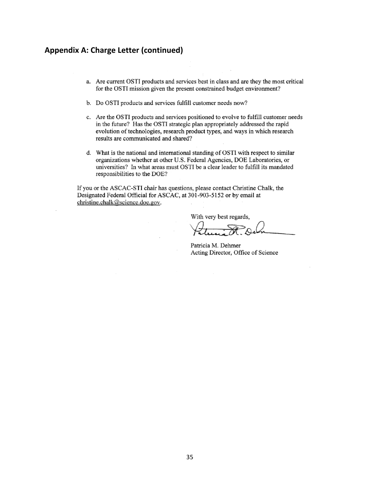## **Appendix A: Charge Letter (continued)**

- a. Are current OSTI products and services best in class and are they the most critical for the OSTI mission given the present constrained budget environment?
- b. Do OSTI products and services fulfill customer needs now?
- c. Are the OSTI products and services positioned to evolve to fulfill customer needs in the future? Has the OSTI strategic plan appropriately addressed the rapid evolution of technologies, research product types, and ways in which research results are communicated and shared?
- d. What is the national and international standing of OSTI with respect to similar organizations whether at other U.S. Federal Agencies, DOE Laboratories, or universities? In what areas must OSTI be a clear leader to fulfill its mandated responsibilities to the DOE?

If you or the ASCAC-STI chair has questions, please contact Christine Chalk, the Designated Federal Official for ASCAC, at 301-903-5152 or by email at christine.chalk@science.doe.gov.

With very best regards,

Patricia M. Dehmer Acting Director, Office of Science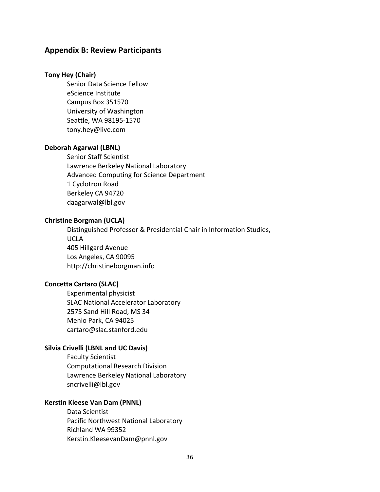### **Appendix B: Review Participants**

#### **Tony Hey (Chair)**

Senior Data Science Fellow eScience Institute Campus Box 351570 University of Washington Seattle, WA 98195‐1570 tony.hey@live.com

#### **Deborah Agarwal (LBNL)**

Senior Staff Scientist Lawrence Berkeley National Laboratory Advanced Computing for Science Department 1 Cyclotron Road Berkeley CA 94720 daagarwal@lbl.gov

### **Christine Borgman (UCLA)**

Distinguished Professor & Presidential Chair in Information Studies, UCLA 405 Hillgard Avenue Los Angeles, CA 90095 http://christineborgman.info

#### **Concetta Cartaro (SLAC)**

Experimental physicist SLAC National Accelerator Laboratory 2575 Sand Hill Road, MS 34 Menlo Park, CA 94025 cartaro@slac.stanford.edu

#### **Silvia Crivelli (LBNL and UC Davis)**

Faculty Scientist Computational Research Division Lawrence Berkeley National Laboratory sncrivelli@lbl.gov

### **Kerstin Kleese Van Dam (PNNL)**

Data Scientist Pacific Northwest National Laboratory Richland WA 99352 Kerstin.KleesevanDam@pnnl.gov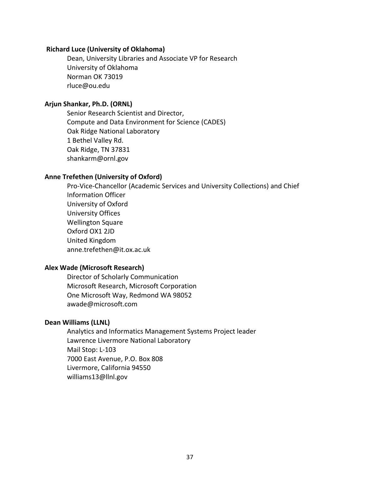#### **Richard Luce (University of Oklahoma)**

Dean, University Libraries and Associate VP for Research University of Oklahoma Norman OK 73019 rluce@ou.edu

### **Arjun Shankar, Ph.D. (ORNL)**

Senior Research Scientist and Director, Compute and Data Environment for Science (CADES) Oak Ridge National Laboratory 1 Bethel Valley Rd. Oak Ridge, TN 37831 shankarm@ornl.gov

#### **Anne Trefethen (University of Oxford)**

Pro‐Vice‐Chancellor (Academic Services and University Collections) and Chief Information Officer University of Oxford University Offices Wellington Square Oxford OX1 2JD United Kingdom anne.trefethen@it.ox.ac.uk

#### **Alex Wade (Microsoft Research)**

Director of Scholarly Communication Microsoft Research, Microsoft Corporation One Microsoft Way, Redmond WA 98052 awade@microsoft.com

#### **Dean Williams (LLNL)**

Analytics and Informatics Management Systems Project leader Lawrence Livermore National Laboratory Mail Stop: L‐103 7000 East Avenue, P.O. Box 808 Livermore, California 94550 williams13@llnl.gov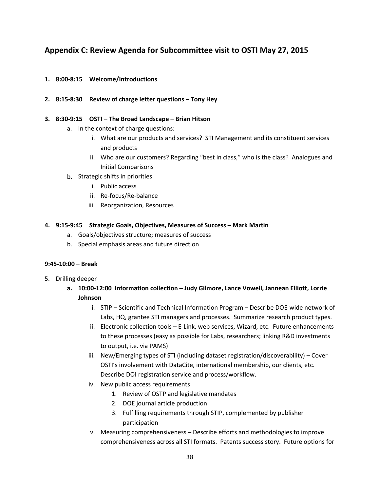# **Appendix C: Review Agenda for Subcommittee visit to OSTI May 27, 2015**

- **1. 8:00‐8:15 Welcome/Introductions**
- **2. 8:15‐8:30 Review of charge letter questions – Tony Hey**

#### **3. 8:30‐9:15 OSTI – The Broad Landscape – Brian Hitson**

- a. In the context of charge questions:
	- i. What are our products and services? STI Management and its constituent services and products
	- ii. Who are our customers? Regarding "best in class," who is the class? Analogues and Initial Comparisons
- b. Strategic shifts in priorities
	- i. Public access
	- ii. Re‐focus/Re‐balance
	- iii. Reorganization, Resources

#### **4. 9:15‐9:45 Strategic Goals, Objectives, Measures of Success – Mark Martin**

- a. Goals/objectives structure; measures of success
- b. Special emphasis areas and future direction

#### **9:45‐10:00 – Break**

- 5. Drilling deeper
	- **a. 10:00‐12:00 Information collection – Judy Gilmore, Lance Vowell, Jannean Elliott, Lorrie Johnson**
		- i. STIP Scientific and Technical Information Program Describe DOE‐wide network of Labs, HQ, grantee STI managers and processes. Summarize research product types.
		- ii. Electronic collection tools E-Link, web services, Wizard, etc. Future enhancements to these processes (easy as possible for Labs, researchers; linking R&D investments to output, i.e. via PAMS)
		- iii. New/Emerging types of STI (including dataset registration/discoverability) Cover OSTI's involvement with DataCite, international membership, our clients, etc. Describe DOI registration service and process/workflow.
		- iv. New public access requirements
			- 1. Review of OSTP and legislative mandates
			- 2. DOE journal article production
			- 3. Fulfilling requirements through STIP, complemented by publisher participation
		- v. Measuring comprehensiveness Describe efforts and methodologies to improve comprehensiveness across all STI formats. Patents success story. Future options for